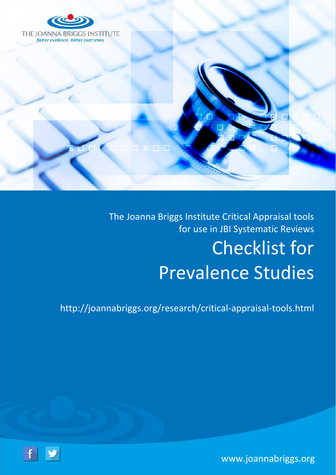

The Joanna Briggs Institute Critical Appraisal tools for use in JBI Systematic Reviews Checklist for Prevalence Studies

<http://joannabriggs.org/research/critical-appraisal-tools.html>

[www.joannabriggs.org](http://www.joannabriggs.org/)

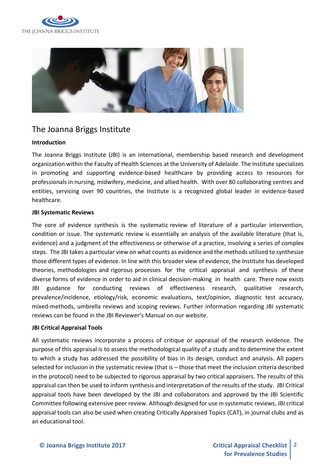



# The Joanna Briggs Institute

#### **Introduction**

The Joanna Briggs Institute (JBI) is an international, membership based research and development organization within the Faculty of Health Sciences at the University of Adelaide. The Institute specializes in promoting and supporting evidence-based healthcare by providing access to resources for professionals in nursing, midwifery, medicine, and allied health. With over 80 collaborating centres and entities, servicing over 90 countries, the Institute is a recognized global leader in evidence-based healthcare.

#### **JBI Systematic Reviews**

The core of evidence synthesis is the systematic review of literature of a particular intervention, condition or issue. The systematic review is essentially an analysis of the available literature (that is, evidence) and a judgment of the effectiveness or otherwise of a practice, involving a series of complex steps. The JBI takes a particular view on what counts as evidence and the methods utilized to synthesize those different types of evidence. In line with this broader view of evidence, the Institute has developed theories, methodologies and rigorous processes for the critical appraisal and synthesis of these diverse forms of evidence in order to aid in clinical decision-making in health care. There now exists JBI guidance for conducting reviews of effectiveness research, qualitative research, prevalence/incidence, etiology/risk, economic evaluations, text/opinion, diagnostic test accuracy, mixed-methods, umbrella reviews and scoping reviews. Further information regarding JBI systematic reviews can be found in the JBI Reviewer's Manual on our website.

#### **JBI Critical Appraisal Tools**

All systematic reviews incorporate a process of critique or appraisal of the research evidence. The purpose of this appraisal is to assess the methodological quality of a study and to determine the extent to which a study has addressed the possibility of bias in its design, conduct and analysis. All papers selected for inclusion in the systematic review (that is – those that meet the inclusion criteria described in the protocol) need to be subjected to rigorous appraisal by two critical appraisers. The results of this appraisal can then be used to inform synthesis and interpretation of the results of the study. JBI Critical appraisal tools have been developed by the JBI and collaborators and approved by the JBI Scientific Committee following extensive peer review. Although designed for use in systematic reviews, JBI critical appraisal tools can also be used when creating Critically Appraised Topics (CAT), in journal clubs and as an educational tool.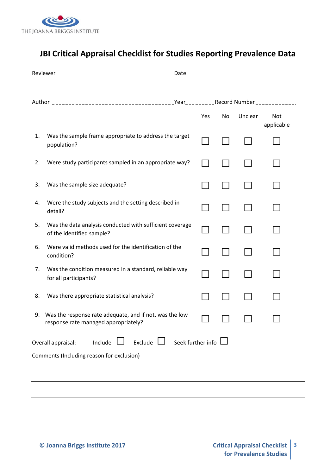

# **JBI Critical Appraisal Checklist for Studies Reporting Prevalence Data**

|                                                                          |                                                                                                 | Yes | No | Unclear | Not<br>applicable |
|--------------------------------------------------------------------------|-------------------------------------------------------------------------------------------------|-----|----|---------|-------------------|
| 1.                                                                       | Was the sample frame appropriate to address the target<br>population?                           |     |    |         |                   |
| 2.                                                                       | Were study participants sampled in an appropriate way?                                          |     |    |         |                   |
| 3.                                                                       | Was the sample size adequate?                                                                   |     |    |         |                   |
| 4.                                                                       | Were the study subjects and the setting described in<br>detail?                                 |     |    |         |                   |
| 5.                                                                       | Was the data analysis conducted with sufficient coverage<br>of the identified sample?           |     |    |         |                   |
| 6.                                                                       | Were valid methods used for the identification of the<br>condition?                             |     |    |         |                   |
| 7.                                                                       | Was the condition measured in a standard, reliable way<br>for all participants?                 |     |    |         |                   |
| 8.                                                                       | Was there appropriate statistical analysis?                                                     |     |    |         |                   |
| 9.                                                                       | Was the response rate adequate, and if not, was the low<br>response rate managed appropriately? |     |    |         |                   |
| Exclude $\Box$ Seek further info $\Box$<br>Include<br>Overall appraisal: |                                                                                                 |     |    |         |                   |
| Comments (Including reason for exclusion)                                |                                                                                                 |     |    |         |                   |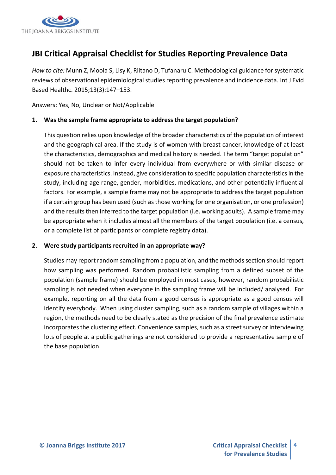

# **JBI Critical Appraisal Checklist for Studies Reporting Prevalence Data**

*How to cite:* Munn Z, Moola S, Lisy K, Riitano D, Tufanaru C. Methodological guidance for systematic reviews of observational epidemiological studies reporting prevalence and incidence data. Int J Evid Based Healthc. 2015;13(3):147–153.

Answers: Yes, No, Unclear or Not/Applicable

## **1. Was the sample frame appropriate to address the target population?**

This question relies upon knowledge of the broader characteristics of the population of interest and the geographical area. If the study is of women with breast cancer, knowledge of at least the characteristics, demographics and medical history is needed. The term "target population" should not be taken to infer every individual from everywhere or with similar disease or exposure characteristics. Instead, give consideration to specific population characteristics in the study, including age range, gender, morbidities, medications, and other potentially influential factors. For example, a sample frame may not be appropriate to address the target population if a certain group has been used (such as those working for one organisation, or one profession) and the results then inferred to the target population (i.e. working adults). A sample frame may be appropriate when it includes almost all the members of the target population (i.e. a census, or a complete list of participants or complete registry data).

#### **2. Were study participants recruited in an appropriate way?**

Studies may report random sampling from a population, and the methods section should report how sampling was performed. Random probabilistic sampling from a defined subset of the population (sample frame) should be employed in most cases, however, random probabilistic sampling is not needed when everyone in the sampling frame will be included/ analysed. For example, reporting on all the data from a good census is appropriate as a good census will identify everybody. When using cluster sampling, such as a random sample of villages within a region, the methods need to be clearly stated as the precision of the final prevalence estimate incorporates the clustering effect. Convenience samples, such as a street survey or interviewing lots of people at a public gatherings are not considered to provide a representative sample of the base population.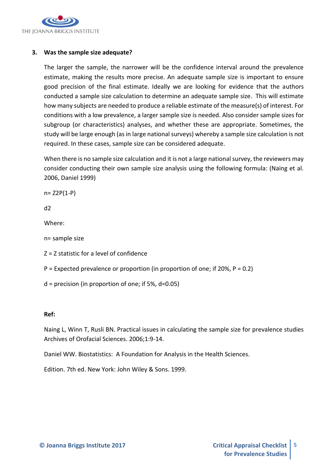

## **3. Was the sample size adequate?**

The larger the sample, the narrower will be the confidence interval around the prevalence estimate, making the results more precise. An adequate sample size is important to ensure good precision of the final estimate. Ideally we are looking for evidence that the authors conducted a sample size calculation to determine an adequate sample size. This will estimate how many subjects are needed to produce a reliable estimate of the measure(s) of interest. For conditions with a low prevalence, a larger sample size is needed. Also consider sample sizes for subgroup (or characteristics) analyses, and whether these are appropriate. Sometimes, the study will be large enough (as in large national surveys) whereby a sample size calculation is not required. In these cases, sample size can be considered adequate.

When there is no sample size calculation and it is not a large national survey, the reviewers may consider conducting their own sample size analysis using the following formula: (Naing et al. 2006, Daniel 1999)

n= Z2P(1-P)

d2

Where:

n= sample size

Z = Z statistic for a level of confidence

 $P =$  Expected prevalence or proportion (in proportion of one; if 20%,  $P = 0.2$ )

 $d = precision (in proportion of one; if 5%, d=0.05)$ 

#### **Ref:**

Naing L, Winn T, Rusli BN. Practical issues in calculating the sample size for prevalence studies Archives of Orofacial Sciences. 2006;1:9-14.

Daniel WW. Biostatistics: A Foundation for Analysis in the Health Sciences.

Edition. 7th ed. New York: John Wiley & Sons. 1999.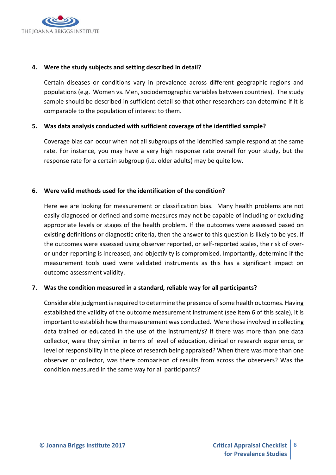

#### **4. Were the study subjects and setting described in detail?**

Certain diseases or conditions vary in prevalence across different geographic regions and populations (e.g. Women vs. Men, sociodemographic variables between countries). The study sample should be described in sufficient detail so that other researchers can determine if it is comparable to the population of interest to them.

## **5. Was data analysis conducted with sufficient coverage of the identified sample?**

Coverage bias can occur when not all subgroups of the identified sample respond at the same rate. For instance, you may have a very high response rate overall for your study, but the response rate for a certain subgroup (i.e. older adults) may be quite low.

## **6. Were valid methods used for the identification of the condition?**

Here we are looking for measurement or classification bias. Many health problems are not easily diagnosed or defined and some measures may not be capable of including or excluding appropriate levels or stages of the health problem. If the outcomes were assessed based on existing definitions or diagnostic criteria, then the answer to this question is likely to be yes. If the outcomes were assessed using observer reported, or self-reported scales, the risk of overor under-reporting is increased, and objectivity is compromised. Importantly, determine if the measurement tools used were validated instruments as this has a significant impact on outcome assessment validity.

#### **7. Was the condition measured in a standard, reliable way for all participants?**

Considerable judgment is required to determine the presence of some health outcomes. Having established the validity of the outcome measurement instrument (see item 6 of this scale), it is important to establish how the measurement was conducted. Were those involved in collecting data trained or educated in the use of the instrument/s? If there was more than one data collector, were they similar in terms of level of education, clinical or research experience, or level of responsibility in the piece of research being appraised? When there was more than one observer or collector, was there comparison of results from across the observers? Was the condition measured in the same way for all participants?